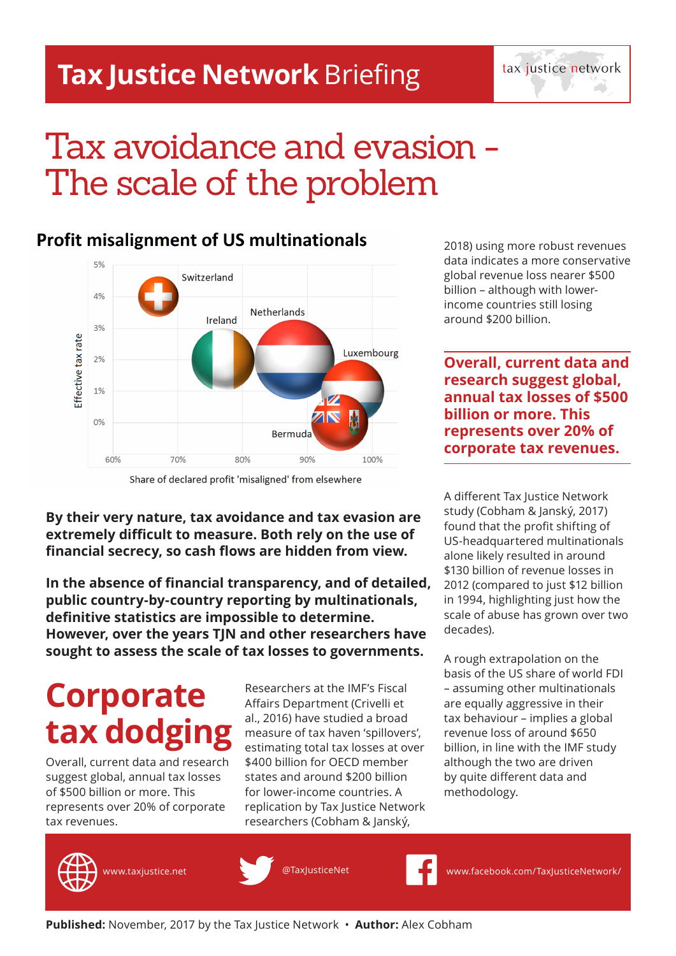### **Tax Justice Network** Briefing

tax justice network

## Tax avoidance and evasion - The scale of the problem

### **Profit misalignment of US multinationals**



Share of declared profit 'misaligned' from elsewhere

**By their very nature, tax avoidance and tax evasion are extremely difficult to measure. Both rely on the use of financial secrecy, so cash flows are hidden from view.** 

**In the absence of financial transparency, and of detailed, public country-by-country reporting by multinationals, definitive statistics are impossible to determine. However, over the years TJN and other researchers have sought to assess the scale of tax losses to governments.** 

## **Corporate tax dodgin**

Overall, current data and research suggest global, annual tax losses of \$500 billion or more. This represents over 20% of corporate tax revenues.

Researchers at the IMF's Fiscal Affairs Department (Crivelli et al., 2016) have studied a broad measure of tax haven 'spillovers', estimating total tax losses at over \$400 billion for OECD member states and around \$200 billion for lower-income countries. A replication by Tax Justice Network researchers (Cobham & Janský,

2018) using more robust revenues data indicates a more conservative global revenue loss nearer \$500 billion – although with lowerincome countries still losing around \$200 billion.

**Overall, current data and research suggest global, annual tax losses of \$500 billion or more. This represents over 20% of corporate tax revenues.**

A different Tax Justice Network study (Cobham & Janský, 2017) found that the profit shifting of US-headquartered multinationals alone likely resulted in around \$130 billion of revenue losses in 2012 (compared to just \$12 billion in 1994, highlighting just how the scale of abuse has grown over two decades).

A rough extrapolation on the basis of the US share of world FDI – assuming other multinationals are equally aggressive in their tax behaviour – implies a global revenue loss of around \$650 billion, in line with the IMF study although the two are driven by quite different data and methodology.





www.taxjustice.net @TaxJusticeNet www.facebook.com/TaxJusticeNetwork/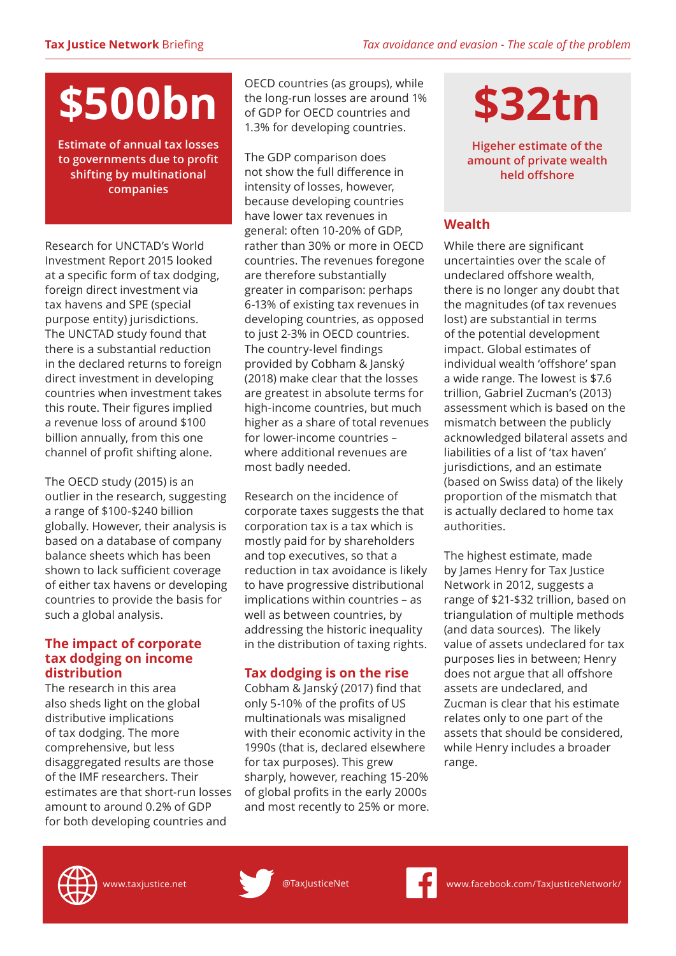# **\$500bn**

**Estimate of annual tax losses to governments due to profit shifting by multinational companies** 

Research for UNCTAD's World Investment Report 2015 looked at a specific form of tax dodging, foreign direct investment via tax havens and SPE (special purpose entity) jurisdictions. The UNCTAD study found that there is a substantial reduction in the declared returns to foreign direct investment in developing countries when investment takes this route. Their figures implied a revenue loss of around \$100 billion annually, from this one channel of profit shifting alone.

The OECD study (2015) is an outlier in the research, suggesting a range of \$100-\$240 billion globally. However, their analysis is based on a database of company balance sheets which has been shown to lack sufficient coverage of either tax havens or developing countries to provide the basis for such a global analysis.

### **The impact of corporate tax dodging on income distribution**

The research in this area also sheds light on the global distributive implications of tax dodging. The more comprehensive, but less disaggregated results are those of the IMF researchers. Their estimates are that short-run losses amount to around 0.2% of GDP for both developing countries and

OECD countries (as groups), while the long-run losses are around 1% of GDP for OECD countries and 1.3% for developing countries.

The GDP comparison does not show the full difference in intensity of losses, however, because developing countries have lower tax revenues in general: often 10-20% of GDP, rather than 30% or more in OECD countries. The revenues foregone are therefore substantially greater in comparison: perhaps 6-13% of existing tax revenues in developing countries, as opposed to just 2-3% in OECD countries. The country-level findings provided by Cobham & Janský (2018) make clear that the losses are greatest in absolute terms for high-income countries, but much higher as a share of total revenues for lower-income countries – where additional revenues are most badly needed.

Research on the incidence of corporate taxes suggests the that corporation tax is a tax which is mostly paid for by shareholders and top executives, so that a reduction in tax avoidance is likely to have progressive distributional implications within countries – as well as between countries, by addressing the historic inequality in the distribution of taxing rights.

### **Tax dodging is on the rise**

Cobham & Janský (2017) find that only 5-10% of the profits of US multinationals was misaligned with their economic activity in the 1990s (that is, declared elsewhere for tax purposes). This grew sharply, however, reaching 15-20% of global profits in the early 2000s and most recently to 25% or more. **\$32tn**

**Higeher estimate of the amount of private wealth held offshore**

### **Wealth**

While there are significant uncertainties over the scale of undeclared offshore wealth, there is no longer any doubt that the magnitudes (of tax revenues lost) are substantial in terms of the potential development impact. Global estimates of individual wealth 'offshore' span a wide range. The lowest is \$7.6 trillion, Gabriel Zucman's (2013) assessment which is based on the mismatch between the publicly acknowledged bilateral assets and liabilities of a list of 'tax haven' jurisdictions, and an estimate (based on Swiss data) of the likely proportion of the mismatch that is actually declared to home tax authorities.

The highest estimate, made by James Henry for Tax Justice Network in 2012, suggests a range of \$21-\$32 trillion, based on triangulation of multiple methods (and data sources). The likely value of assets undeclared for tax purposes lies in between; Henry does not argue that all offshore assets are undeclared, and Zucman is clear that his estimate relates only to one part of the assets that should be considered, while Henry includes a broader range.